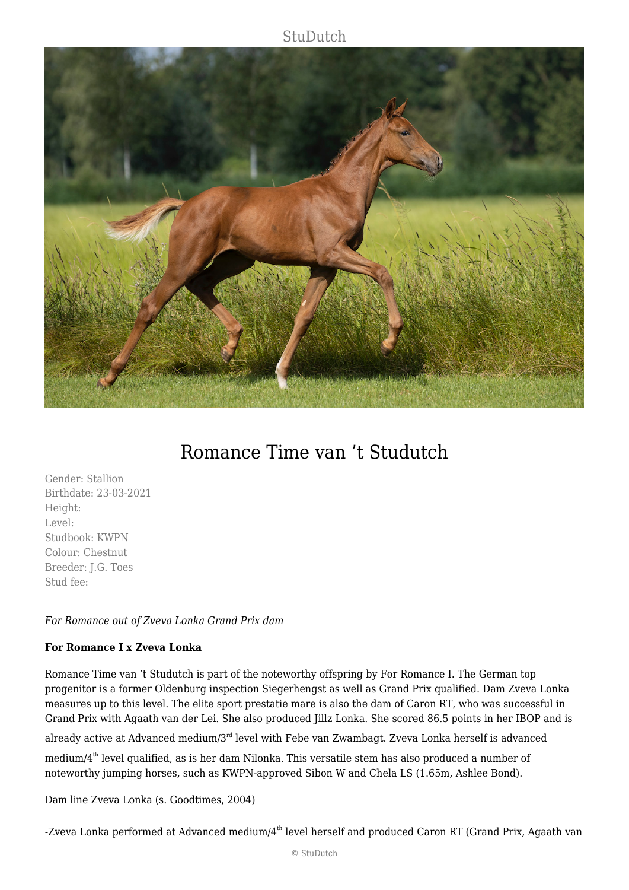### **StuDutch**



# Romance Time van 't Studutch

Gender: Stallion Birthdate: 23-03-2021 Height: Level: Studbook: KWPN Colour: Chestnut Breeder: J.G. Toes Stud fee:

#### *For Romance out of Zveva Lonka Grand Prix dam*

#### **For Romance I x Zveva Lonka**

Romance Time van 't Studutch is part of the noteworthy offspring by For Romance I. The German top progenitor is a former Oldenburg inspection Siegerhengst as well as Grand Prix qualified. Dam Zveva Lonka measures up to this level. The elite sport prestatie mare is also the dam of Caron RT, who was successful in Grand Prix with Agaath van der Lei. She also produced Jillz Lonka. She scored 86.5 points in her IBOP and is

already active at Advanced medium/3<sup>rd</sup> level with Febe van Zwambagt. Zveva Lonka herself is advanced

medium/4th level qualified, as is her dam Nilonka. This versatile stem has also produced a number of noteworthy jumping horses, such as KWPN-approved Sibon W and Chela LS (1.65m, Ashlee Bond).

Dam line Zveva Lonka (s. Goodtimes, 2004)

-Zveva Lonka performed at Advanced medium/4<sup>th</sup> level herself and produced Caron RT (Grand Prix, Agaath van